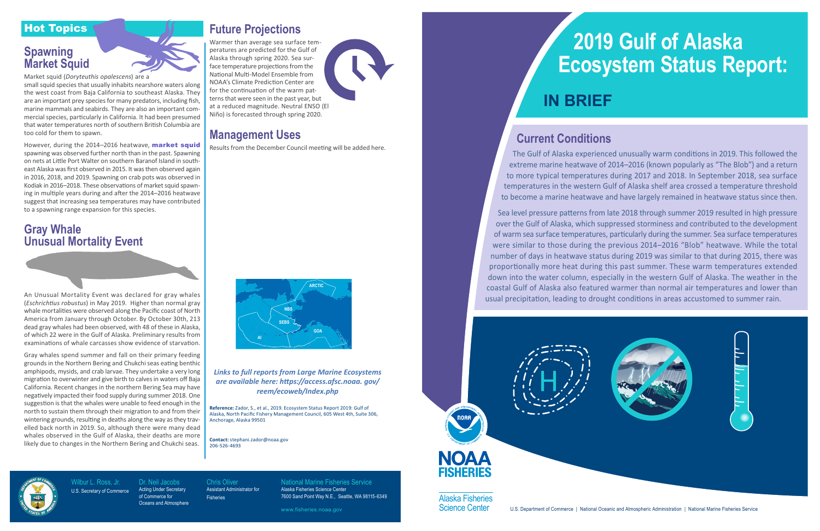Wilbur L. Ross, Jr. U.S. Secretary of Commerce Dr. Neil Jacobs Acting Under Secretary of Commerce for

**Oceans and Atmosphere** 

Chris Oliver Assistant Administrator for Fisheries

National Marine Fisheries Service Alaska Fisheries Science Center 7600 Sand Point Way N.E., Seattle, WA 98115-6349

www.fisheries.noaa.gov

## Hot Topics

## **Spawning Market Squid**



Market squid (*Doryteuthis opalescens*) are a

small squid species that usually inhabits nearshore waters along the west coast from Baja California to southeast Alaska. They are an important prey species for many predators, including fish, marine mammals and seabirds. They are also an important commercial species, particularly in California. It had been presumed that water temperatures north of southern British Columbia are too cold for them to spawn.

However, during the 2014-2016 heatwave, market squid spawning was observed further north than in the past. Spawning on nets at Little Port Walter on southern Baranof Island in southeast Alaska was first observed in 2015. It was then observed again in 2016, 2018, and 2019. Spawning on crab pots was observed in Kodiak in 2016–2018. These observations of market squid spawning in multiple years during and after the 2014–2016 heatwave suggest that increasing sea temperatures may have contributed to a spawning range expansion for this species.

## **Gray Whale Unusual Mortality Event**

An Unusual Mortality Event was declared for gray whales (*Eschrichtius robustus*) in May 2019. Higher than normal gray whale mortalities were observed along the Pacific coast of North America from January through October. By October 30th, 213 dead gray whales had been observed, with 48 of these in Alaska, of which 22 were in the Gulf of Alaska. Preliminary results from examinations of whale carcasses show evidence of starvation.

Gray whales spend summer and fall on their primary feeding grounds in the Northern Bering and Chukchi seas eating benthic amphipods, mysids, and crab larvae. They undertake a very long migration to overwinter and give birth to calves in waters off Baja California. Recent changes in the northern Bering Sea may have negatively impacted their food supply during summer 2018. One suggestion is that the whales were unable to feed enough in the north to sustain them through their migration to and from their wintering grounds, resulting in deaths along the way as they travelled back north in 2019. So, although there were many dead whales observed in the Gulf of Alaska, their deaths are more likely due to changes in the Northern Bering and Chukchi seas.

## **Future Projections**

Warmer than average sea surface temperatures are predicted for the Gulf of Alaska through spring 2020. Sea surface temperature projections from the National Multi-Model Ensemble from NOAA's Climate Prediction Center are for the continuation of the warm patterns that were seen in the past year, but at a reduced magnitude. Neutral ENSO (El Niño) is forecasted through spring 2020.



## **Management Uses**

Results from the December Council meeting will be added here.

### *Links to full reports from Large Marine Ecosystems are available here: https://access.afsc.noaa. gov/ reem/ecoweb/Index.php*

**Reference:** Zador, S., et al., 2019. Ecosystem Status Report 2019: Gulf of Alaska, North Pacific Fishery Management Council, 605 West 4th, Suite 306, Anchorage, Alaska 99501

**Contact:** stephani.zador@noaa.gov 206-526-4693





## **Current Conditions**

The Gulf of Alaska experienced unusually warm conditions in 2019. This followed the extreme marine heatwave of 2014–2016 (known popularly as "The Blob") and a return to more typical temperatures during 2017 and 2018. In September 2018, sea surface temperatures in the western Gulf of Alaska shelf area crossed a temperature threshold to become a marine heatwave and have largely remained in heatwave status since then.

Sea level pressure patterns from late 2018 through summer 2019 resulted in high pressure over the Gulf of Alaska, which suppressed storminess and contributed to the development of warm sea surface temperatures, particularly during the summer. Sea surface temperatures were similar to those during the previous 2014–2016 "Blob" heatwave. While the total number of days in heatwave status during 2019 was similar to that during 2015, there was proportionally more heat during this past summer. These warm temperatures extended down into the water column, especially in the western Gulf of Alaska. The weather in the coastal Gulf of Alaska also featured warmer than normal air temperatures and lower than usual precipitation, leading to drought conditions in areas accustomed to summer rain.

EISHERIES

Alaska Fisheries



# **2019 Gulf of Alaska Ecosystem Status Report:**

## **IN BRIEF**